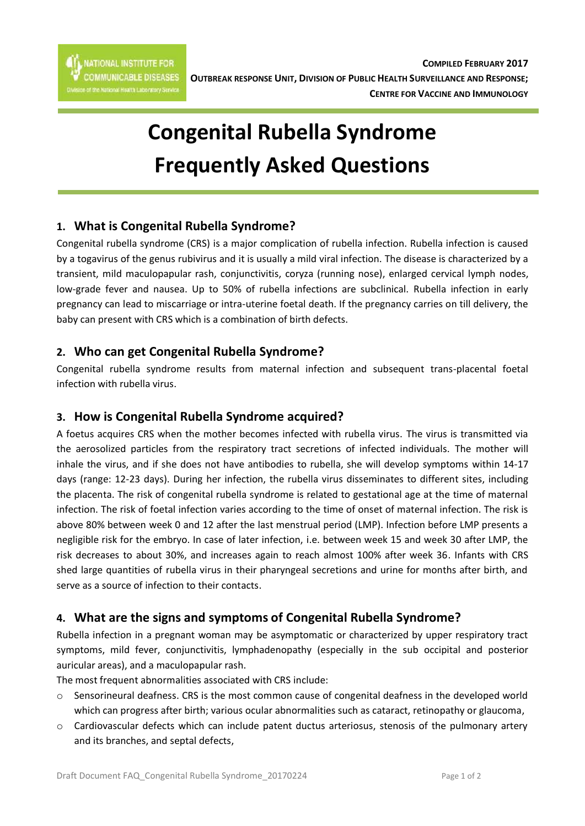# **Congenital Rubella Syndrome Frequently Asked Questions**

## **1. What is Congenital Rubella Syndrome?**

Congenital rubella syndrome (CRS) is a major complication of rubella infection. Rubella infection is caused by a togavirus of the genus rubivirus and it is usually a mild viral infection. The disease is characterized by a transient, mild maculopapular rash, conjunctivitis, coryza (running nose), enlarged cervical lymph nodes, low-grade fever and nausea. Up to 50% of rubella infections are subclinical. Rubella infection in early pregnancy can lead to miscarriage or intra-uterine foetal death. If the pregnancy carries on till delivery, the baby can present with CRS which is a combination of birth defects.

## **2. Who can get Congenital Rubella Syndrome?**

Congenital rubella syndrome results from maternal infection and subsequent trans-placental foetal infection with rubella virus.

## **3. How is Congenital Rubella Syndrome acquired?**

A foetus acquires CRS when the mother becomes infected with rubella virus. The virus is transmitted via the aerosolized particles from the respiratory tract secretions of infected individuals. The mother will inhale the virus, and if she does not have antibodies to rubella, she will develop symptoms within 14-17 days (range: 12-23 days). During her infection, the rubella virus disseminates to different sites, including the placenta. The risk of congenital rubella syndrome is related to gestational age at the time of maternal infection. The risk of foetal infection varies according to the time of onset of maternal infection. The risk is above 80% between week 0 and 12 after the last menstrual period (LMP). Infection before LMP presents a negligible risk for the embryo. In case of later infection, i.e. between week 15 and week 30 after LMP, the risk decreases to about 30%, and increases again to reach almost 100% after week 36. Infants with CRS shed large quantities of rubella virus in their pharyngeal secretions and urine for months after birth, and serve as a source of infection to their contacts.

## **4. What are the signs and symptoms of Congenital Rubella Syndrome?**

Rubella infection in a pregnant woman may be asymptomatic or characterized by upper respiratory tract symptoms, mild fever, conjunctivitis, lymphadenopathy (especially in the sub occipital and posterior auricular areas), and a maculopapular rash.

The most frequent abnormalities associated with CRS include:

- o Sensorineural deafness. CRS is the most common cause of congenital deafness in the developed world which can progress after birth; various ocular abnormalities such as cataract, retinopathy or glaucoma,
- $\circ$  Cardiovascular defects which can include patent ductus arteriosus, stenosis of the pulmonary artery and its branches, and septal defects,